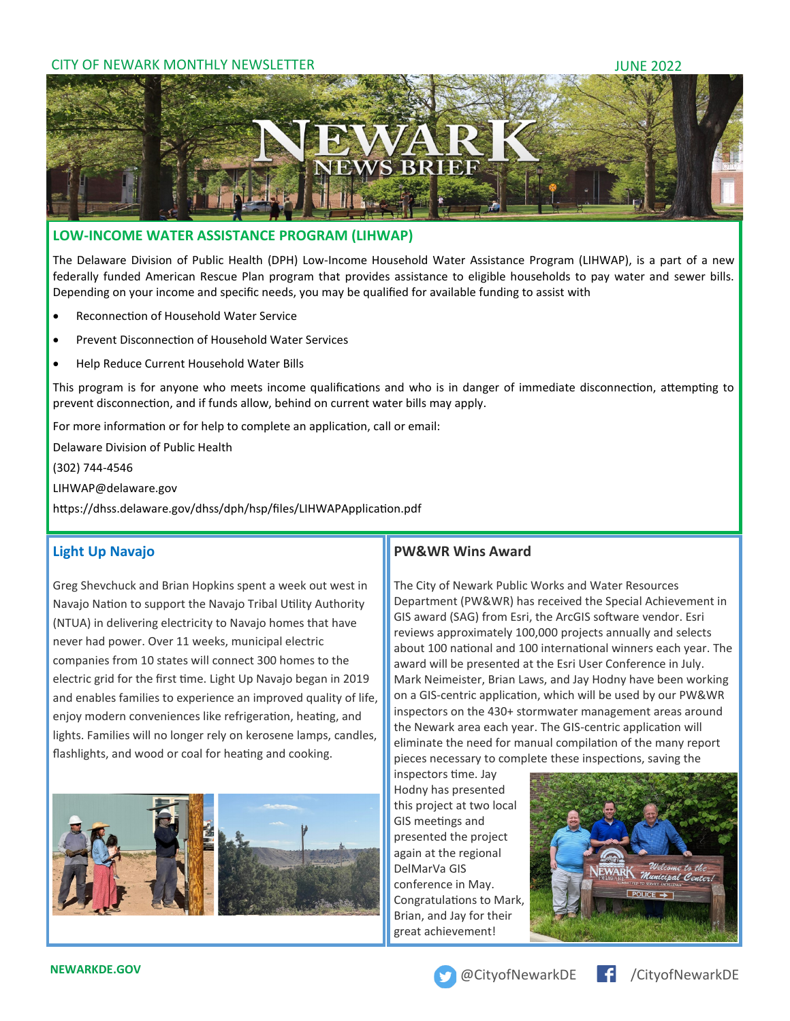### CITY OF NEWARK MONTHLY NEWSLETTER **SEEMS** THE SERVICE OF NEW ARREST 2022



### **LOW-INCOME WATER ASSISTANCE PROGRAM (LIHWAP)**

The Delaware Division of Public Health (DPH) Low-Income Household Water Assistance Program (LIHWAP), is a part of a new federally funded American Rescue Plan program that provides assistance to eligible households to pay water and sewer bills. Depending on your income and specific needs, you may be qualified for available funding to assist with

- Reconnection of Household Water Service
- Prevent Disconnection of Household Water Services
- Help Reduce Current Household Water Bills

This program is for anyone who meets income qualifications and who is in danger of immediate disconnection, attempting to prevent disconnection, and if funds allow, behind on current water bills may apply.

For more information or for help to complete an application, call or email:

Delaware Division of Public Health

(302) 744-4546

LIHWAP@delaware.gov

https://dhss.delaware.gov/dhss/dph/hsp/files/LIHWAPApplication.pdf

## **Light Up Navajo**

Greg Shevchuck and Brian Hopkins spent a week out west in Navajo Nation to support the Navajo Tribal Utility Authority (NTUA) in delivering electricity to Navajo homes that have never had power. Over 11 weeks, municipal electric companies from 10 states will connect 300 homes to the electric grid for the first time. Light Up Navajo began in 2019 and enables families to experience an improved quality of life, enjoy modern conveniences like refrigeration, heating, and lights. Families will no longer rely on kerosene lamps, candles, flashlights, and wood or coal for heating and cooking.



## **PW&WR Wins Award**

The City of Newark Public Works and Water Resources Department (PW&WR) has received the Special Achievement in GIS award (SAG) from Esri, the ArcGIS software vendor. Esri reviews approximately 100,000 projects annually and selects about 100 national and 100 international winners each year. The award will be presented at the Esri User Conference in July. Mark Neimeister, Brian Laws, and Jay Hodny have been working on a GIS-centric application, which will be used by our PW&WR inspectors on the 430+ stormwater management areas around the Newark area each year. The GIS-centric application will eliminate the need for manual compilation of the many report pieces necessary to complete these inspections, saving the

inspectors time. Jay Hodny has presented this project at two local GIS meetings and presented the project again at the regional DelMarVa GIS conference in May. Congratulations to Mark, Brian, and Jay for their great achievement!



**NEWARKDE.GOV CONTROLLER AND A CONTROLLER AND A CONTROLLER AND A CONTROLLER AND A CONTROLLER AND A CONTROLLER AND A CONTROLLER AND A CONTROLLER AND A CONTROLLER AND A CONTROLLER AND A CONTROLLER AND A CONTROLLER AND A CO**